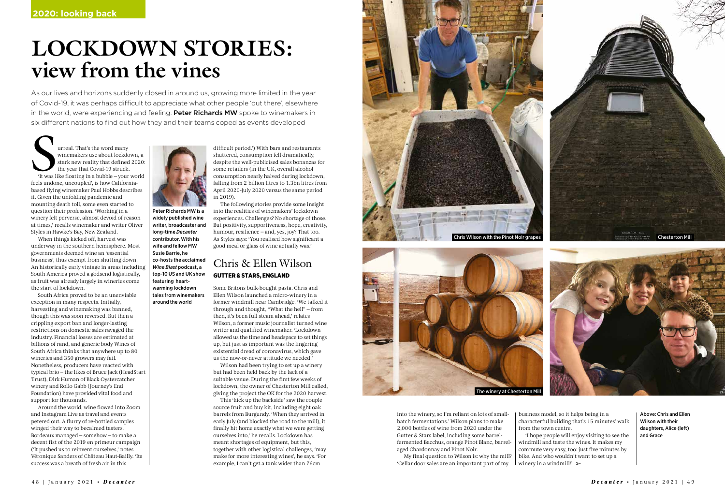Peter Richards MW is a widely published wine writer, broadcaster and long-time *Decanter* contributor. With his wife and fellow MW Susie Barrie, he co-hosts the acclaimed *Wine Blast* podcast, a top-10 US and UK show featuring heartwarming lockdown tales from winemakers around the world

# **LOCKDOWN STORIES: view from the vines**

As our lives and horizons suddenly closed in around us, growing more limited in the year of Covid-19, it was perhaps difficult to appreciate what other people 'out there', elsewhere in the world, were experiencing and feeling. Peter Richards MW spoke to winemakers in six different nations to find out how they and their teams coped as events developed

That's the word many<br>
winemakers use about lockdown, a<br>
stark new reality that defined 2020:<br>
'It was like floating in a bubble – your world<br>
our world winemakers use about lockdown, a stark new reality that defined 2020: the year that Covid-19 struck. feels undone, uncoupled', is how Californiabased flying winemaker Paul Hobbs describes it. Given the unfolding pandemic and mounting death toll, some even started to question their profession. 'Working in a winery felt perverse, almost devoid of reason at times,' recalls winemaker and writer Oliver Styles in Hawke's Bay, New Zealand.

When things kicked off, harvest was underway in the southern hemisphere. Most governments deemed wine an 'essential business', thus exempt from shutting down. An historically early vintage in areas including South America proved a godsend logistically, as fruit was already largely in wineries come the start of lockdown.

South Africa proved to be an unenviable exception in many respects. Initially, harvesting and winemaking was banned, though this was soon reversed. But then a crippling export ban and longer-lasting restrictions on domestic sales ravaged the industry. Financial losses are estimated at billions of rand, and generic body Wines of South Africa thinks that anywhere up to 80 wineries and 350 growers may fail. Nonetheless, producers have reacted with typical brio – the likes of Bruce Jack (HeadStart Trust), Dirk Human of Black Oystercatcher winery and Rollo Gabb (Journey's End Foundation) have provided vital food and support for thousands.

> 'I hope people will enjoy visiting to see the windmill and taste the wines. It makes my commute very easy, too: just five minutes by bike. And who wouldn't want to set up a winery in a windmill! $\geq$

Around the world, wine flowed into Zoom and Instagram Live as travel and events petered out. A flurry of re-bottled samples winged their way to becalmed tasters. Bordeaux managed – somehow – to make a decent fist of the 2019 en primeur campaign ('It pushed us to reinvent ourselves,' notes Véronique Sanders of Château Haut-Bailly. 'Its success was a breath of fresh air in this



difficult period.') With bars and restaurants shuttered, consumption fell dramatically, despite the well-publicised sales bonanzas for some retailers (in the UK, overall alcohol consumption nearly halved during lockdown, falling from 2 billion litres to 1.3bn litres from April 2020-July 2020 versus the same period in 2019).

The following stories provide some insight into the realities of winemakers' lockdown experiences. Challenges? No shortage of those. But positivity, supportiveness, hope, creativity, humour, resilience – and, yes, joy? That too. As Styles says: 'You realised how significant a good meal or glass of wine actually was.'

### Chris & Ellen Wilson GUTTER & STARS, ENGLAND

Some Britons bulk-bought pasta. Chris and Ellen Wilson launched a micro-winery in a former windmill near Cambridge. 'We talked it through and thought, "What the hell" – from then, it's been full steam ahead,' relates Wilson, a former music journalist turned wine writer and qualified winemaker. 'Lockdown allowed us the time and headspace to set things up, but just as important was the lingering existential dread of coronavirus, which gave us the now-or-never attitude we needed.'

Wilson had been trying to set up a winery but had been held back by the lack of a suitable venue. During the first few weeks of lockdown, the owner of Chesterton Mill called, giving the project the OK for the 2020 harvest.

This 'kick up the backside' saw the couple source fruit and buy kit, including eight oak barrels from Burgundy. 'When they arrived in early July (and blocked the road to the mill), it finally hit home exactly what we were getting ourselves into,' he recalls. Lockdown has meant shortages of equipment, but this, together with other logistical challenges, 'may make for more interesting wines', he says. 'For example, I can't get a tank wider than 76cm

business model, so it helps being in a characterful building that's 15 minutes' walk

from the town centre.

into the winery, so I'm reliant on lots of smallbatch fermentations.' Wilson plans to make 2,000 bottles of wine from 2020 under the Gutter & Stars label, including some barrelfermented Bacchus, orange Pinot Blanc, barrelaged Chardonnay and Pinot Noir.

My final question to Wilson is: why the mill? 'Cellar door sales are an important part of my

Above: Chris and Ellen Wilson with their daughters, Alice (left) and Grace



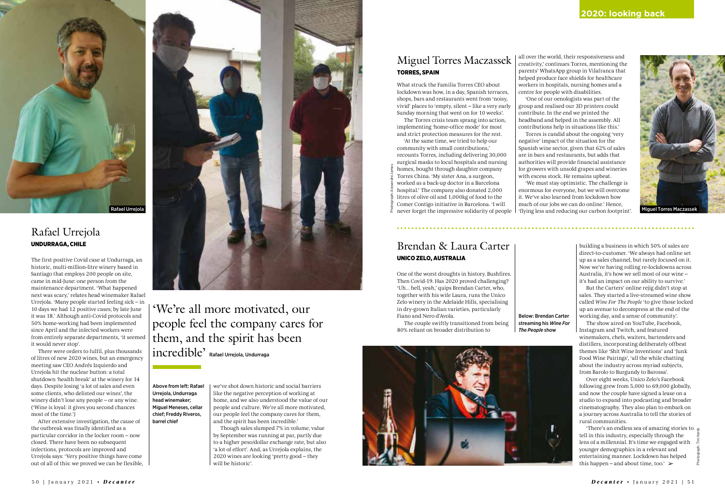#### **2020: looking back**

### Rafael Urrejola UNDURRAGA, CHILE

The first positive Covid case at Undurraga, an historic, multi-million-litre winery based in Santiago that employs 200 people on site, came in mid-June: one person from the maintenance department. 'What happened next was scary,' relates head winemaker Rafael Urrejola. 'Many people started feeling sick – in 10 days we had 12 positive cases; by late June it was 18.' Although anti-Covid protocols and 50% home-working had been implemented since April and the infected workers were from entirely separate departments, 'it seemed it would never stop'.

There were orders to fulfil, plus thousands of litres of new 2020 wines, but an emergency meeting saw CEO Andrés Izquierdo and Urrejola hit the nuclear button: a total shutdown 'health break' at the winery for 14 days. Despite losing 'a lot of sales and even some clients, who delisted our wines', the winery didn't lose any people – or any wine. ('Wine is loyal: it gives you second chances most of the time.')

After extensive investigation, the cause of the outbreak was finally identified as a particular corridor in the locker room – now closed. There have been no subsequent infections, protocols are improved and Urrejola says: 'Very positive things have come out of all of this: we proved we can be flexible, we've shot down historic and social barriers like the negative perception of working at home, and we also understood the value of our people and culture. We're all more motivated, our people feel the company cares for them, and the spirit has been incredible.'

Though sales slumped 7% in volume, value by September was running at par, partly due to a higher peso/dollar exchange rate, but also 'a lot of effort'. And, as Urrejola explains, the 2020 wines are looking 'pretty good – they will be historic'.

Above from left: Rafael Urrejola, Undurraga head winemaker; Miguel Meneses, cellar chief; Freddy Riveros, barrel chief

# 'We're all more motivated, our people feel the company cares for them, and the spirit has been incredible' Rafael Urrejola, Undurraga

'There's an endless sea of amazing stories to tell in this industry, especially through the lens of a millennial. It's time we engaged with younger demographics in a relevant and entertaining manner. Lockdown has helped this happen – and about time, too.'  $\blacktriangleright$ 

What struck the Familia Torres CEO about lockdown was how, in a day, Spanish terraces, shops, bars and restaurants went from 'noisy, vivid' places to 'empty, silent – like a very early Sunday morning that went on for 10 weeks'. The Torres crisis team sprang into action,

implementing 'home-office mode' for most and strict protection measures for the rest.

### Brendan & Laura Carter UNICO ZELO, AUSTRALIA

One of the worst droughts in history. Bushfires. Then Covid-19. Has 2020 proved challenging? 'Uh... hell, yeah,' quips Brendan Carter, who, together with his wife Laura, runs the Unico Zelo winery in the Adelaide Hills, specialising in dry-grown Italian varieties, particularly Fiano and Nero d'Avola.

The couple swiftly transitioned from being 80% reliant on broader distribution to

building a business in which 50% of sales are direct-to-customer. 'We always had online set up as a sales channel, but rarely focused on it. Now we're having rolling re-lockdowns across Australia, it's how we sell most of our wine – it's had an impact on our ability to survive.'

But the Carters' online rejig didn't stop at sales. They started a live-streamed wine show called *Wine For The People* 'to give those locked up an avenue to decompress at the end of the working day, and a sense of community'.

The show aired on YouTube, Facebook, Instagram and Twitch, and featured winemakers, chefs, waiters, bartenders and distillers, incorporating deliberately offbeat themes like 'Shit Wine Inventions' and 'Junk Food Wine Pairings', 'all the while chatting about the industry across myriad subjects, from Barolo to Burgundy to Barossa'.

'At the same time, we tried to help our community with small contributions,' recounts Torres, including delivering 30,000 surgical masks to local hospitals and nursing homes, bought through daughter company Torres China. 'My sister Ana, a surgeon, worked as a back-up doctor in a Barcelona hospital.' The company also donated 2,000 litres of olive oil and 1,000kg of food to the Comer Contigo initiative in Barcelona. 'I will Photograph: Alexandre James

> Over eight weeks, Unico Zelo's Facebook following grew from 5,000 to 69,000 globally, and now the couple have signed a lease on a studio to expand into podcasting and broader cinematography. They also plan to embark on a journey across Australia to tell the stories of rural communities.



all over the world, their responsiveness and creativity,' continues Torres, mentioning the parents' WhatsApp group in Vilafranca that helped produce face shields for healthcare workers in hospitals, nursing homes and a centre for people with disabilities. 'One of our oenologists was part of the group and realised our 3D printers could contribute. In the end we printed the headband and helped in the assembly. All contributions help in situations like this.' Torres is candid about the ongoing 'very negative' impact of the situation for the Spanish wine sector, given that 62% of sales are in bars and restaurants, but adds that authorities will provide financial assistance for growers with unsold grapes and wineries with excess stock. He remains upbeat. 'We must stay optimistic. The challenge is enormous for everyone, but we will overcome it. We've also learned from lockdown how much of our jobs we can do online.' Hence,



Below: Brendan Carter

streaming his *Wine For The People* show



## Miguel Torres Maczassek TORRES, SPAIN

Photograph: Tim Hards